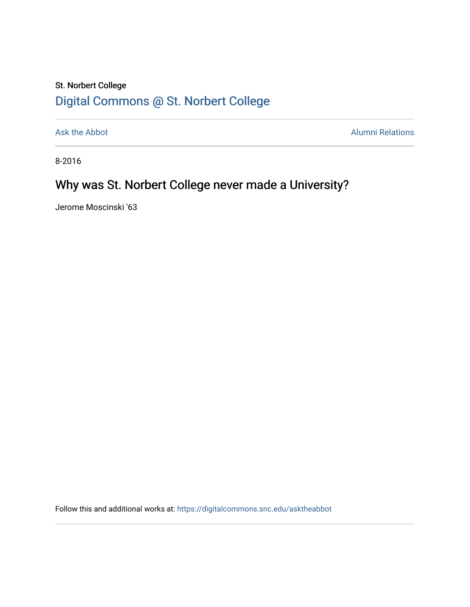## St. Norbert College [Digital Commons @ St. Norbert College](https://digitalcommons.snc.edu/)

[Ask the Abbot](https://digitalcommons.snc.edu/asktheabbot) **Alumni Relations** Alumni Relations

8-2016

# Why was St. Norbert College never made a University?

Jerome Moscinski '63

Follow this and additional works at: [https://digitalcommons.snc.edu/asktheabbot](https://digitalcommons.snc.edu/asktheabbot?utm_source=digitalcommons.snc.edu%2Fasktheabbot%2F147&utm_medium=PDF&utm_campaign=PDFCoverPages)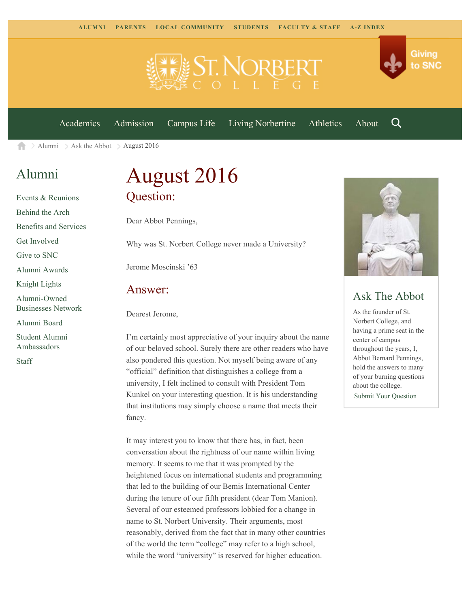



[Academics](https://www.snc.edu/academics) [Admission](https://www.snc.edu/admission) [Campus Life](https://www.snc.edu/campuslife) [Living Norbertine](https://www.snc.edu/livingnorbertine) [Athletics](https://www.snc.edu/athletics) [About](https://www.snc.edu/about)

Q

[Alumni](https://www.snc.edu/alumni/)  $\geq$  [Ask the Abbot](https://www.snc.edu/alumni/abbot/)  $\geq$  August 2016 合

### [Alumni](https://www.snc.edu/alumni/index.html)

[Events & Reunions](https://www.snc.edu/alumni/event/index.html) [Behind the Arch](https://www.snc.edu/alumni/event/behindthearch/) [Benefits and Services](https://www.snc.edu/alumni/benefits.html) [Get Involved](https://www.snc.edu/alumni/getinvolved.html) [Give to SNC](http://giving.snc.edu/) [Alumni Awards](https://www.snc.edu/alumni/awards/index.html) [Knight Lights](https://www.snc.edu/alumni/knightlights/index.html) [Alumni-Owned](https://www.snc.edu/alumni/directory/index.html) [Businesses Network](https://www.snc.edu/alumni/directory/index.html) [Alumni Board](https://www.snc.edu/alumni/alumniboard.html) [Student Alumni](https://www.snc.edu/alumni/saa.html) [Ambassadors](https://www.snc.edu/alumni/saa.html) [Staff](https://www.snc.edu/alumni/contactus.html)

# August 2016 Question:

Dear Abbot Pennings,

Why was St. Norbert College never made a University?

Jerome Moscinski '63

#### Answer:

Dearest Jerome,

I'm certainly most appreciative of your inquiry about the name of our beloved school. Surely there are other readers who have also pondered this question. Not myself being aware of any "official" definition that distinguishes a college from a university, I felt inclined to consult with President Tom Kunkel on your interesting question. It is his understanding that institutions may simply choose a name that meets their fancy.

It may interest you to know that there has, in fact, been conversation about the rightness of our name within living memory. It seems to me that it was prompted by the heightened focus on international students and programming that led to the building of our Bemis International Center during the tenure of our fifth president (dear Tom Manion). Several of our esteemed professors lobbied for a change in name to St. Norbert University. Their arguments, most reasonably, derived from the fact that in many other countries of the world the term "college" may refer to a high school, while the word "university" is reserved for higher education.



### Ask The Abbot

As the founder of St. Norbert College, and having a prime seat in the center of campus throughout the years, I, Abbot Bernard Pennings, hold the answers to many of your burning questions about the college. [Submit Your Question](https://www.snc.edu/alumni/abbot/index.html)